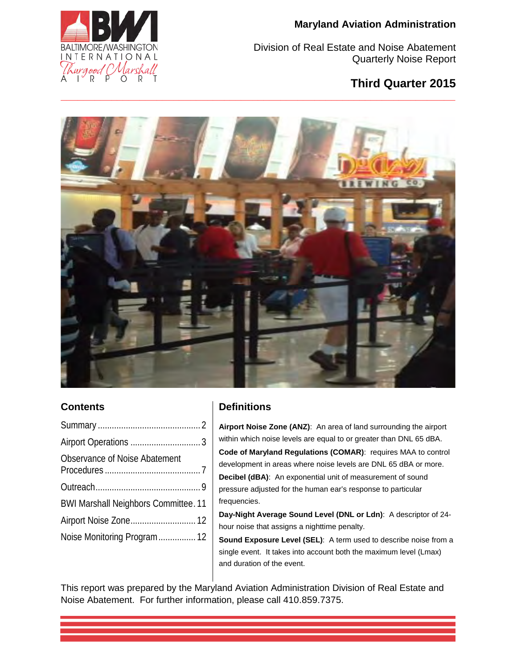

Division of Real Estate and Noise Abatement Quarterly Noise Report

# **Third Quarter 2015**



## **Contents**

| Observance of Noise Abatement               |  |
|---------------------------------------------|--|
|                                             |  |
| <b>BWI Marshall Neighbors Committee. 11</b> |  |
| Airport Noise Zone 12                       |  |
|                                             |  |

# **Definitions**

**Airport Noise Zone (ANZ)**: An area of land surrounding the airport within which noise levels are equal to or greater than DNL 65 dBA. **Code of Maryland Regulations (COMAR)**: requires MAA to control development in areas where noise levels are DNL 65 dBA or more. **Decibel (dBA)**: An exponential unit of measurement of sound pressure adjusted for the human ear's response to particular frequencies.

**Day-Night Average Sound Level (DNL or Ldn)**: A descriptor of 24 hour noise that assigns a nighttime penalty.

**Sound Exposure Level (SEL)**: A term used to describe noise from a single event. It takes into account both the maximum level (Lmax) and duration of the event.

This report was prepared by the Maryland Aviation Administration Division of Real Estate and Noise Abatement. For further information, please call 410.859.7375.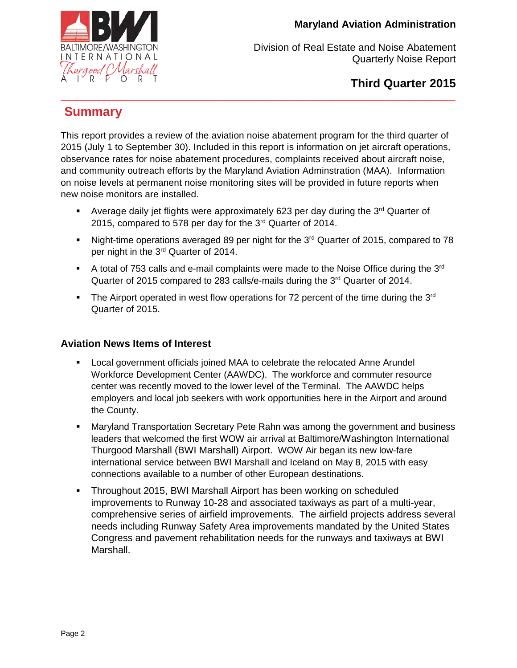

**Third Quarter 2015** 

# <span id="page-1-0"></span>**Summary**

This report provides a review of the aviation noise abatement program for the third quarter of 2015 (July 1 to September 30). Included in this report is information on jet aircraft operations, observance rates for noise abatement procedures, complaints received about aircraft noise, and community outreach efforts by the Maryland Aviation Adminstration (MAA). Information on noise levels at permanent noise monitoring sites will be provided in future reports when new noise monitors are installed.

**\_\_\_\_\_\_\_\_\_\_\_\_\_\_\_\_\_\_\_\_\_\_\_\_\_\_\_\_\_\_\_\_\_\_\_\_\_\_\_\_\_\_\_\_\_\_\_\_\_\_\_\_\_\_\_\_\_\_\_\_\_\_\_\_\_\_\_\_\_\_** 

- Average daily jet flights were approximately 623 per day during the  $3<sup>rd</sup>$  Quarter of 2015, compared to 578 per day for the 3<sup>rd</sup> Quarter of 2014.
- Night-time operations averaged 89 per night for the 3<sup>rd</sup> Quarter of 2015, compared to 78 per night in the 3<sup>rd</sup> Quarter of 2014.
- A total of 753 calls and e-mail complaints were made to the Noise Office during the  $3<sup>rd</sup>$ Quarter of 2015 compared to 283 calls/e-mails during the 3<sup>rd</sup> Quarter of 2014.
- The Airport operated in west flow operations for 72 percent of the time during the  $3<sup>rd</sup>$ Quarter of 2015.

## **Aviation News Items of Interest**

- Local government officials joined MAA to celebrate the relocated Anne Arundel Workforce Development Center (AAWDC). The workforce and commuter resource center was recently moved to the lower level of the Terminal. The AAWDC helps employers and local job seekers with work opportunities here in the Airport and around the County.
- Maryland Transportation Secretary Pete Rahn was among the government and business leaders that welcomed the first WOW air arrival at Baltimore/Washington International Thurgood Marshall (BWI Marshall) Airport. WOW Air began its new low-fare international service between BWI Marshall and Iceland on May 8, 2015 with easy connections available to a number of other European destinations.
- Throughout 2015, BWI Marshall Airport has been working on scheduled improvements to Runway 10-28 and associated taxiways as part of a multi-year, comprehensive series of airfield improvements. The airfield projects address several needs including Runway Safety Area improvements mandated by the United States Congress and pavement rehabilitation needs for the runways and taxiways at BWI Marshall.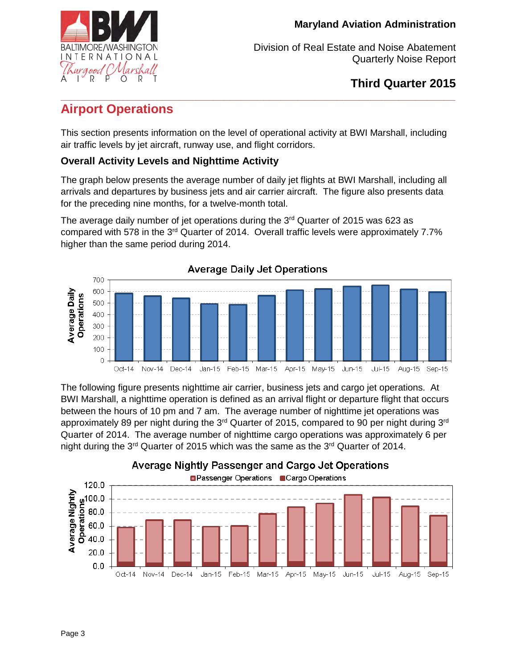

**Third Quarter 2015** 

## <span id="page-2-0"></span>**\_\_\_\_\_\_\_\_\_\_\_\_\_\_\_\_\_\_\_\_\_\_\_\_\_\_\_\_\_\_\_\_\_\_\_\_\_\_\_\_\_\_\_\_\_\_\_\_\_\_\_\_\_\_\_\_\_\_\_\_\_\_\_\_\_\_\_\_\_\_ Airport Operations**

This section presents information on the level of operational activity at BWI Marshall, including air traffic levels by jet aircraft, runway use, and flight corridors.

# **Overall Activity Levels and Nighttime Activity**

The graph below presents the average number of daily jet flights at BWI Marshall, including all arrivals and departures by business jets and air carrier aircraft. The figure also presents data for the preceding nine months, for a twelve-month total.

The average daily number of jet operations during the 3<sup>rd</sup> Quarter of 2015 was 623 as compared with 578 in the 3<sup>rd</sup> Quarter of 2014. Overall traffic levels were approximately 7.7% higher than the same period during 2014.



The following figure presents nighttime air carrier, business jets and cargo jet operations. At BWI Marshall, a nighttime operation is defined as an arrival flight or departure flight that occurs between the hours of 10 pm and 7 am. The average number of nighttime jet operations was approximately 89 per night during the  $3<sup>rd</sup>$  Quarter of 2015, compared to 90 per night during  $3<sup>rd</sup>$ Quarter of 2014. The average number of nighttime cargo operations was approximately 6 per night during the  $3^{rd}$  Quarter of 2015 which was the same as the  $3^{rd}$  Quarter of 2014.

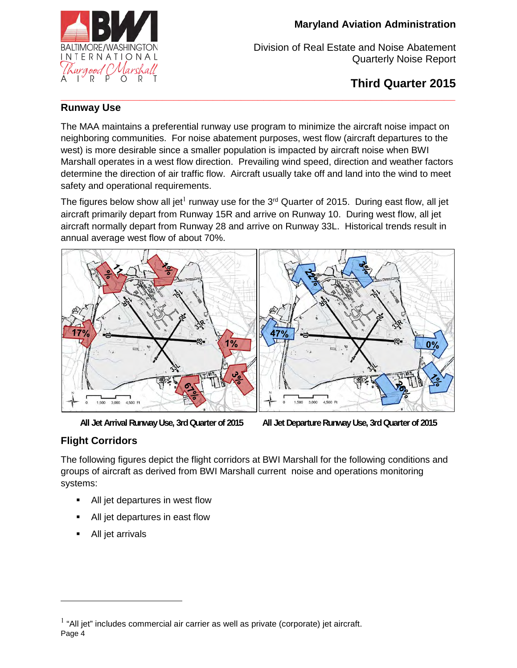

Division of Real Estate and Noise Abatement Quarterly Noise Report

**Third Quarter 2015** 

#### **\_\_\_\_\_\_\_\_\_\_\_\_\_\_\_\_\_\_\_\_\_\_\_\_\_\_\_\_\_\_\_\_\_\_\_\_\_\_\_\_\_\_\_\_\_\_\_\_\_\_\_\_\_\_\_\_\_\_\_\_\_\_\_\_\_\_\_\_\_\_ Runway Use**

The MAA maintains a preferential runway use program to minimize the aircraft noise impact on neighboring communities. For noise abatement purposes, west flow (aircraft departures to the west) is more desirable since a smaller population is impacted by aircraft noise when BWI Marshall operates in a west flow direction. Prevailing wind speed, direction and weather factors determine the direction of air traffic flow. Aircraft usually take off and land into the wind to meet safety and operational requirements.

The figures below show all jet $^{\rm l}$  runway use for the 3<sup>rd</sup> Quarter of 2015. During east flow, all jet aircraft primarily depart from Runway 15R and arrive on Runway 10. During west flow, all jet aircraft normally depart from Runway 28 and arrive on Runway 33L. Historical trends result in annual average west flow of about 70%.



**All Jet Arrival Runway Use, 3rd Quarter of 2015 All Jet Departure Runway Use, 3rd Quarter of 2015** 

# **Flight Corridors**

The following figures depict the flight corridors at BWI Marshall for the following conditions and groups of aircraft as derived from BWI Marshall current noise and operations monitoring systems:

- All jet departures in west flow
- All jet departures in east flow
- All jet arrivals

 $\overline{a}$ 

Page 4  $<sup>1</sup>$  "All jet" includes commercial air carrier as well as private (corporate) jet aircraft.</sup>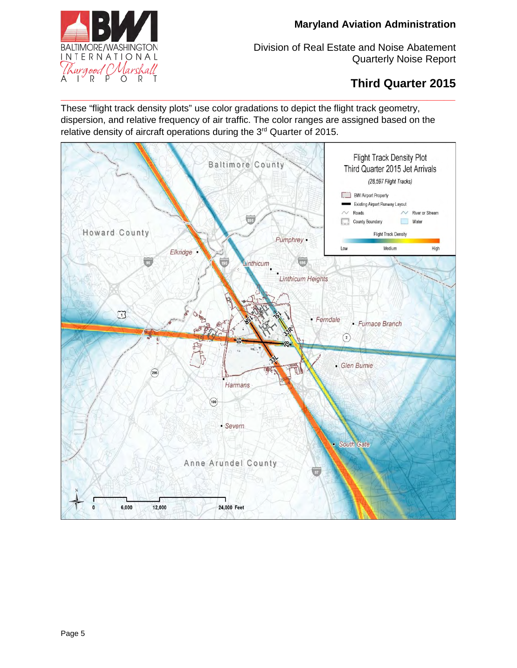

Division of Real Estate and Noise Abatement Quarterly Noise Report

# **Third Quarter 2015**

These "flight track density plots" use color gradations to depict the flight track geometry, dispersion, and relative frequency of air traffic. The color ranges are assigned based on the relative density of aircraft operations during the 3<sup>rd</sup> Quarter of 2015.

**\_\_\_\_\_\_\_\_\_\_\_\_\_\_\_\_\_\_\_\_\_\_\_\_\_\_\_\_\_\_\_\_\_\_\_\_\_\_\_\_\_\_\_\_\_\_\_\_\_\_\_\_\_\_\_\_\_\_\_\_\_\_\_\_\_\_\_\_\_\_** 

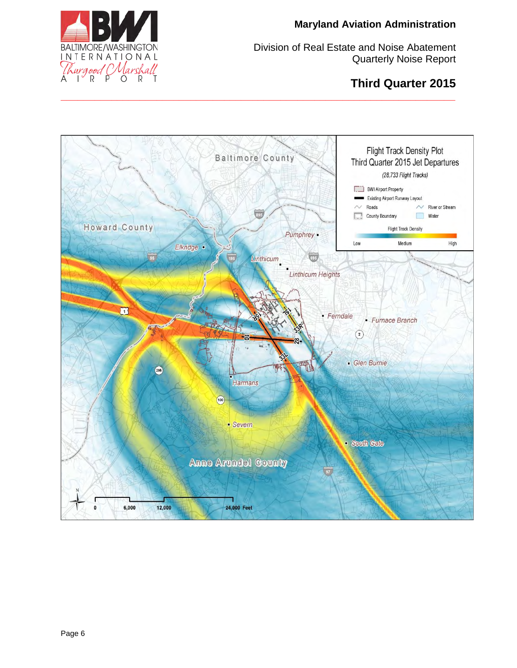

# **Third Quarter 2015**



**\_\_\_\_\_\_\_\_\_\_\_\_\_\_\_\_\_\_\_\_\_\_\_\_\_\_\_\_\_\_\_\_\_\_\_\_\_\_\_\_\_\_\_\_\_\_\_\_\_\_\_\_\_\_\_\_\_\_\_\_\_\_\_\_\_\_\_\_\_\_**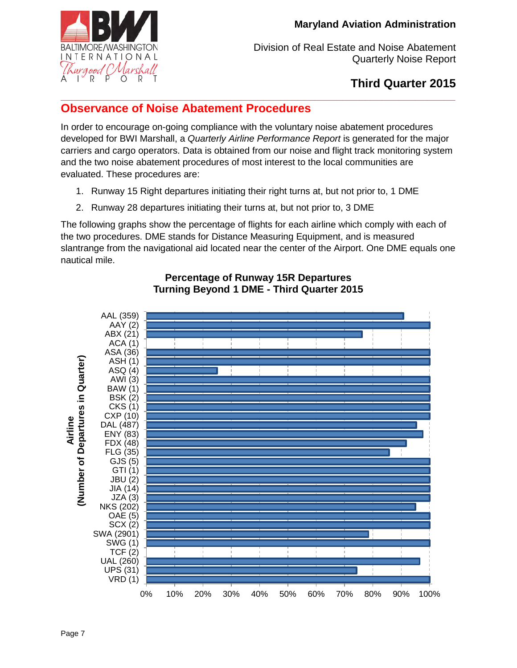

# **Third Quarter 2015**

#### <span id="page-6-0"></span>**\_\_\_\_\_\_\_\_\_\_\_\_\_\_\_\_\_\_\_\_\_\_\_\_\_\_\_\_\_\_\_\_\_\_\_\_\_\_\_\_\_\_\_\_\_\_\_\_\_\_\_\_\_\_\_\_\_\_\_\_\_\_\_\_\_\_\_\_\_\_ Observance of Noise Abatement Procedures**

In order to encourage on-going compliance with the voluntary noise abatement procedures developed for BWI Marshall, a *Quarterly Airline Performance Report* is generated for the major carriers and cargo operators. Data is obtained from our noise and flight track monitoring system and the two noise abatement procedures of most interest to the local communities are evaluated. These procedures are:

- 1. Runway 15 Right departures initiating their right turns at, but not prior to, 1 DME
- 2. Runway 28 departures initiating their turns at, but not prior to, 3 DME

The following graphs show the percentage of flights for each airline which comply with each of the two procedures. DME stands for Distance Measuring Equipment, and is measured slantrange from the navigational aid located near the center of the Airport. One DME equals one nautical mile.



## **Percentage of Runway 15R Departures Turning Beyond 1 DME - Third Quarter 2015**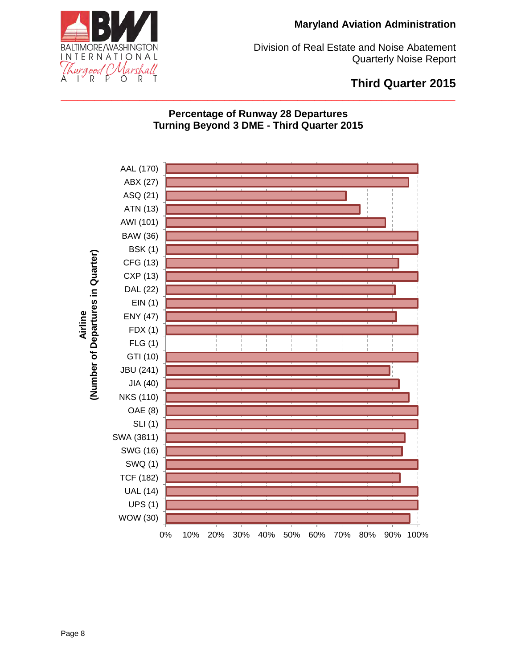

Division of Real Estate and Noise Abatement Quarterly Noise Report

# **Third Quarter 2015**

## **Percentage of Runway 28 Departures Turning Beyond 3 DME - Third Quarter 2015**

**\_\_\_\_\_\_\_\_\_\_\_\_\_\_\_\_\_\_\_\_\_\_\_\_\_\_\_\_\_\_\_\_\_\_\_\_\_\_\_\_\_\_\_\_\_\_\_\_\_\_\_\_\_\_\_\_\_\_\_\_\_\_\_\_\_\_\_\_\_\_** 

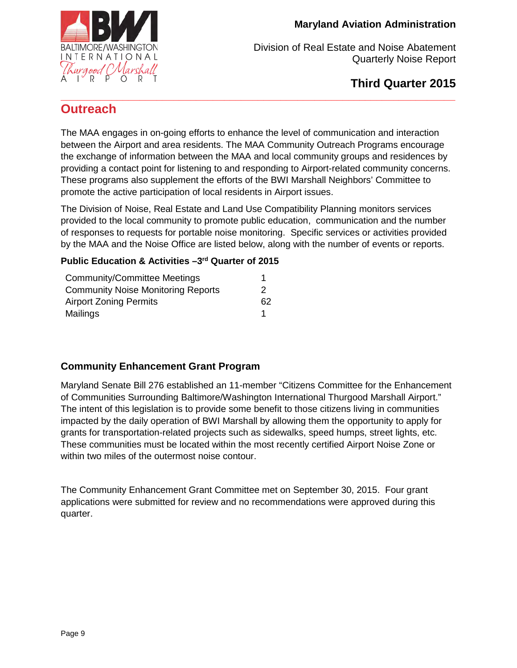

# **Third Quarter 2015**

## <span id="page-8-0"></span>**\_\_\_\_\_\_\_\_\_\_\_\_\_\_\_\_\_\_\_\_\_\_\_\_\_\_\_\_\_\_\_\_\_\_\_\_\_\_\_\_\_\_\_\_\_\_\_\_\_\_\_\_\_\_\_\_\_\_\_\_\_\_\_\_\_\_\_\_\_\_ Outreach**

The MAA engages in on-going efforts to enhance the level of communication and interaction between the Airport and area residents. The MAA Community Outreach Programs encourage the exchange of information between the MAA and local community groups and residences by providing a contact point for listening to and responding to Airport-related community concerns. These programs also supplement the efforts of the BWI Marshall Neighbors' Committee to promote the active participation of local residents in Airport issues.

The Division of Noise, Real Estate and Land Use Compatibility Planning monitors services provided to the local community to promote public education, communication and the number of responses to requests for portable noise monitoring. Specific services or activities provided by the MAA and the Noise Office are listed below, along with the number of events or reports.

#### **Public Education & Activities –3rd Quarter of 2015**

| <b>Community/Committee Meetings</b>       |    |
|-------------------------------------------|----|
| <b>Community Noise Monitoring Reports</b> | 2  |
| <b>Airport Zoning Permits</b>             | 62 |
| Mailings                                  |    |

## **Community Enhancement Grant Program**

Maryland Senate Bill 276 established an 11-member "Citizens Committee for the Enhancement of Communities Surrounding Baltimore/Washington International Thurgood Marshall Airport." The intent of this legislation is to provide some benefit to those citizens living in communities impacted by the daily operation of BWI Marshall by allowing them the opportunity to apply for grants for transportation-related projects such as sidewalks, speed humps, street lights, etc. These communities must be located within the most recently certified Airport Noise Zone or within two miles of the outermost noise contour.

The Community Enhancement Grant Committee met on September 30, 2015. Four grant applications were submitted for review and no recommendations were approved during this quarter.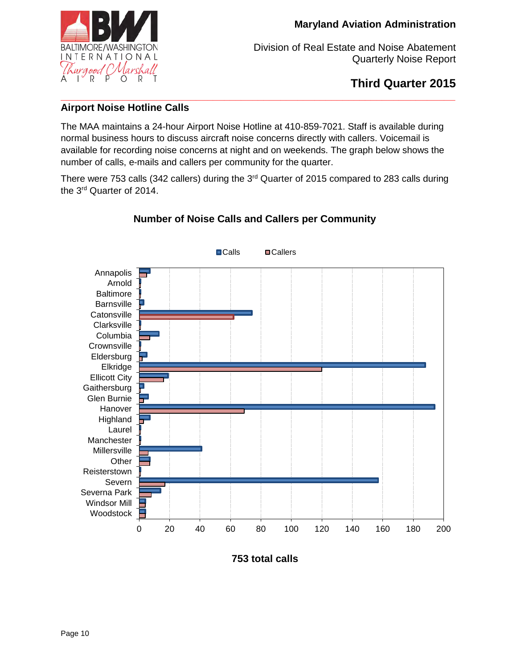

**Third Quarter 2015** 

#### **\_\_\_\_\_\_\_\_\_\_\_\_\_\_\_\_\_\_\_\_\_\_\_\_\_\_\_\_\_\_\_\_\_\_\_\_\_\_\_\_\_\_\_\_\_\_\_\_\_\_\_\_\_\_\_\_\_\_\_\_\_\_\_\_\_\_\_\_\_\_ Airport Noise Hotline Calls**

The MAA maintains a 24-hour Airport Noise Hotline at 410-859-7021. Staff is available during normal business hours to discuss aircraft noise concerns directly with callers. Voicemail is available for recording noise concerns at night and on weekends. The graph below shows the number of calls, e-mails and callers per community for the quarter.

There were 753 calls (342 callers) during the 3<sup>rd</sup> Quarter of 2015 compared to 283 calls during the 3rd Quarter of 2014.



# **Number of Noise Calls and Callers per Community**

**753 total calls**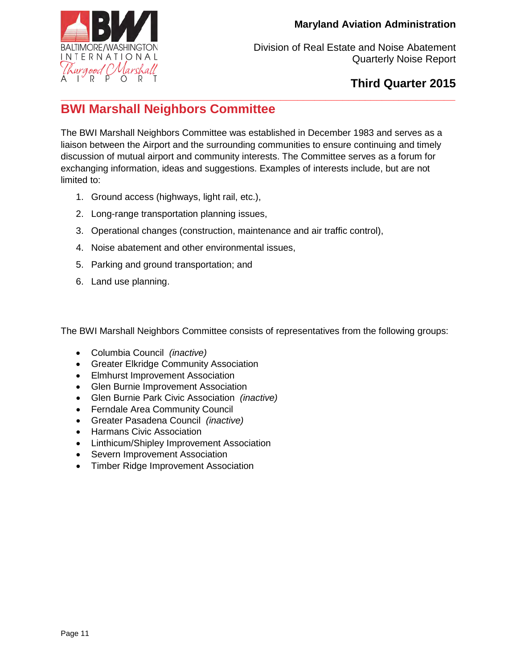

# **Third Quarter 2015**

#### <span id="page-10-0"></span>**\_\_\_\_\_\_\_\_\_\_\_\_\_\_\_\_\_\_\_\_\_\_\_\_\_\_\_\_\_\_\_\_\_\_\_\_\_\_\_\_\_\_\_\_\_\_\_\_\_\_\_\_\_\_\_\_\_\_\_\_\_\_\_\_\_\_\_\_\_\_ BWI Marshall Neighbors Committee**

The BWI Marshall Neighbors Committee was established in December 1983 and serves as a liaison between the Airport and the surrounding communities to ensure continuing and timely discussion of mutual airport and community interests. The Committee serves as a forum for exchanging information, ideas and suggestions. Examples of interests include, but are not limited to:

- 1. Ground access (highways, light rail, etc.),
- 2. Long-range transportation planning issues,
- 3. Operational changes (construction, maintenance and air traffic control),
- 4. Noise abatement and other environmental issues,
- 5. Parking and ground transportation; and
- 6. Land use planning.

The BWI Marshall Neighbors Committee consists of representatives from the following groups:

- Columbia Council *(inactive)*
- Greater Elkridge Community Association
- Elmhurst Improvement Association
- Glen Burnie Improvement Association
- Glen Burnie Park Civic Association *(inactive)*
- Ferndale Area Community Council
- Greater Pasadena Council *(inactive)*
- Harmans Civic Association
- Linthicum/Shipley Improvement Association
- Severn Improvement Association
- Timber Ridge Improvement Association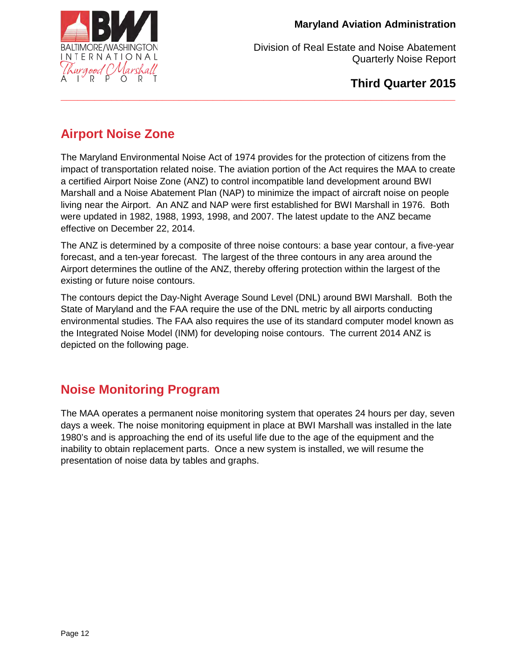

**Third Quarter 2015** 

# **Airport Noise Zone**

The Maryland Environmental Noise Act of 1974 provides for the protection of citizens from the impact of transportation related noise. The aviation portion of the Act requires the MAA to create a certified Airport Noise Zone (ANZ) to control incompatible land development around BWI Marshall and a Noise Abatement Plan (NAP) to minimize the impact of aircraft noise on people living near the Airport. An ANZ and NAP were first established for BWI Marshall in 1976. Both were updated in 1982, 1988, 1993, 1998, and 2007. The latest update to the ANZ became effective on December 22, 2014.

<span id="page-11-0"></span>**\_\_\_\_\_\_\_\_\_\_\_\_\_\_\_\_\_\_\_\_\_\_\_\_\_\_\_\_\_\_\_\_\_\_\_\_\_\_\_\_\_\_\_\_\_\_\_\_\_\_\_\_\_\_\_\_\_\_\_\_\_\_\_\_\_\_\_\_\_\_** 

The ANZ is determined by a composite of three noise contours: a base year contour, a five-year forecast, and a ten-year forecast. The largest of the three contours in any area around the Airport determines the outline of the ANZ, thereby offering protection within the largest of the existing or future noise contours.

The contours depict the Day-Night Average Sound Level (DNL) around BWI Marshall. Both the State of Maryland and the FAA require the use of the DNL metric by all airports conducting environmental studies. The FAA also requires the use of its standard computer model known as the Integrated Noise Model (INM) for developing noise contours. The current 2014 ANZ is depicted on the following page.

# <span id="page-11-1"></span>**Noise Monitoring Program**

The MAA operates a permanent noise monitoring system that operates 24 hours per day, seven days a week. The noise monitoring equipment in place at BWI Marshall was installed in the late 1980's and is approaching the end of its useful life due to the age of the equipment and the inability to obtain replacement parts. Once a new system is installed, we will resume the presentation of noise data by tables and graphs.